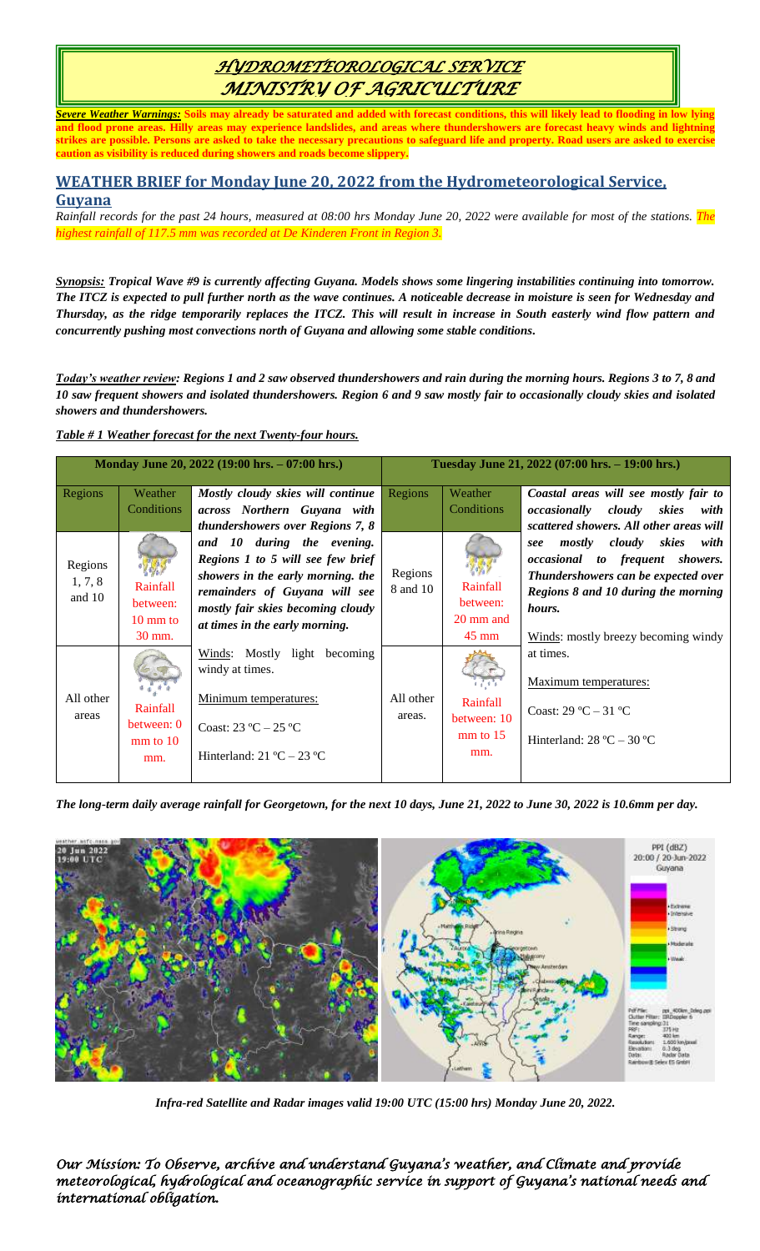# *HYDROMETEOROLOGICAL SERVICE MINISTRY OF AGRICULTURE*

*Severe Weather Warnings:* **Soils may already be saturated and added with forecast conditions, this will likely lead to flooding in low lying and flood prone areas. Hilly areas may experience landslides, and areas where thundershowers are forecast heavy winds and lightning strikes are possible. Persons are asked to take the necessary precautions to safeguard life and property. Road users are asked to exercise caution as visibility is reduced during showers and roads become slippery.** 

### **WEATHER BRIEF for Monday June 20, 2022 from the Hydrometeorological Service, Guyana**

*Rainfall records for the past 24 hours, measured at 08:00 hrs Monday June 20, 2022 were available for most of the stations. The highest rainfall of 117.5 mm was recorded at De Kinderen Front in Region 3.*

*Synopsis: Tropical Wave #9 is currently affecting Guyana. Models shows some lingering instabilities continuing into tomorrow. The ITCZ is expected to pull further north as the wave continues. A noticeable decrease in moisture is seen for Wednesday and Thursday, as the ridge temporarily replaces the ITCZ. This will result in increase in South easterly wind flow pattern and concurrently pushing most convections north of Guyana and allowing some stable conditions.*

*Today's weather review: Regions 1 and 2 saw observed thundershowers and rain during the morning hours. Regions 3 to 7, 8 and 10 saw frequent showers and isolated thundershowers. Region 6 and 9 saw mostly fair to occasionally cloudy skies and isolated showers and thundershowers.*

### *Table # 1 Weather forecast for the next Twenty-four hours.*

| Monday June 20, 2022 (19:00 hrs. - 07:00 hrs.) |                                                      |                                                                                                                                                                                                              | Tuesday June 21, 2022 (07:00 hrs. - 19:00 hrs.) |                                                      |                                                                                                                                                                                                      |
|------------------------------------------------|------------------------------------------------------|--------------------------------------------------------------------------------------------------------------------------------------------------------------------------------------------------------------|-------------------------------------------------|------------------------------------------------------|------------------------------------------------------------------------------------------------------------------------------------------------------------------------------------------------------|
| Regions                                        | Weather<br>Conditions                                | Mostly cloudy skies will continue<br>across Northern Guyana with<br>thundershowers over Regions 7, 8                                                                                                         | Regions                                         | Weather<br>Conditions                                | Coastal areas will see mostly fair to<br><i>occasionally cloudy skies</i><br>with<br>scattered showers. All other areas will                                                                         |
| Regions<br>1, 7, 8<br>and $10$                 | Rainfall<br>between:<br>$10 \text{ mm}$ to<br>30 mm. | and 10 during the evening.<br>Regions 1 to 5 will see few brief<br>showers in the early morning. the<br>remainders of Guyana will see<br>mostly fair skies becoming cloudy<br>at times in the early morning. | Regions<br>8 and 10                             | Rainfall<br>between:<br>20 mm and<br>$45 \text{ mm}$ | mostly cloudy skies<br>with<br>see<br>occasional to frequent showers.<br>Thundershowers can be expected over<br>Regions 8 and 10 during the morning<br>hours.<br>Winds: mostly breezy becoming windy |
| All other<br>areas                             | Rainfall<br>between: 0<br>$mm$ to $10$<br>mm.        | Winds: Mostly light becoming<br>windy at times.<br>Minimum temperatures:<br>Coast: $23 \text{ °C} - 25 \text{ °C}$<br>Hinterland: $21 \text{ °C} - 23 \text{ °C}$                                            | All other<br>areas.                             | Rainfall<br>between: 10<br>$mm$ to 15<br>mm.         | at times.<br>Maximum temperatures:<br>Coast: $29^{\circ}C - 31^{\circ}C$<br>Hinterland: $28 \text{ °C} - 30 \text{ °C}$                                                                              |

*The long-term daily average rainfall for Georgetown, for the next 10 days, June 21, 2022 to June 30, 2022 is 10.6mm per day.*



*Infra-red Satellite and Radar images valid 19:00 UTC (15:00 hrs) Monday June 20, 2022.*

*Our Mission: To Observe, archive and understand Guyana's weather, and Climate and provide meteorological, hydrological and oceanographic service in support of Guyana's national needs and international obligation.*